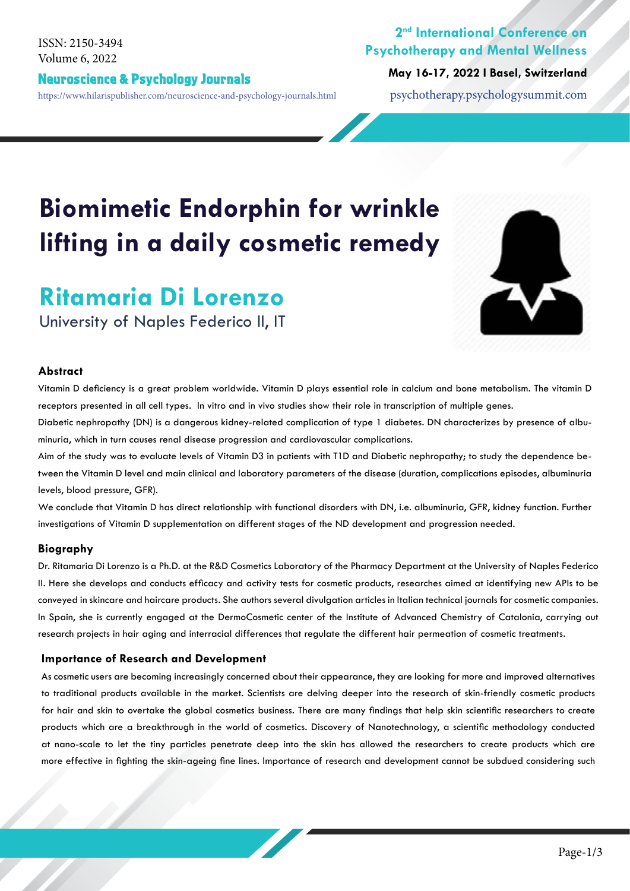Volume 6, 2022 ISSN: 2150-3494

#### Neuroscience & Psychology Journals https://www.hilarispublisher.com/neuroscience-and-psychology-journals.html psychotherapy.psychologysummit.com

### **2nd International Conference on Psychotherapy and Mental Wellness**

**May 16-17, 2022 I Basel, Switzerland**

# **Biomimetic Endorphin for wrinkle lifting in a daily cosmetic remedy**

## **Ritamaria Di Lorenzo**

University of Naples Federico II, IT

#### **Abstract**

Vitamin D deficiency is a great problem worldwide. Vitamin D plays essential role in calcium and bone metabolism. The vitamin D receptors presented in all cell types. In vitro and in vivo studies show their role in transcription of multiple genes.

Diabetic nephropathy (DN) is a dangerous kidney-related complication of type 1 diabetes. DN characterizes by presence of albuminuria, which in turn causes renal disease progression and cardiovascular complications.

Aim of the study was to evaluate levels of Vitamin D3 in patients with T1D and Diabetic nephropathy; to study the dependence between the Vitamin D level and main clinical and laboratory parameters of the disease (duration, complications episodes, albuminuria levels, blood pressure, GFR).

We conclude that Vitamin D has direct relationship with functional disorders with DN, i.e. albuminuria, GFR, kidney function. Further investigations of Vitamin D supplementation on different stages of the ND development and progression needed.

#### **Biography**

Dr. Ritamaria Di Lorenzo is a Ph.D. at the R&D Cosmetics Laboratory of the Pharmacy Department at the University of Naples Federico II. Here she develops and conducts efficacy and activity tests for cosmetic products, researches aimed at identifying new APIs to be conveyed in skincare and haircare products. She authors several divulgation articles in Italian technical journals for cosmetic companies. In Spain, she is currently engaged at the DermoCosmetic center of the Institute of Advanced Chemistry of Catalonia, carrying out research projects in hair aging and interracial differences that regulate the different hair permeation of cosmetic treatments.

#### **Importance of Research and Development**

As cosmetic users are becoming increasingly concerned about their appearance, they are looking for more and improved alternatives to traditional products available in the market. Scientists are delving deeper into the research of skin-friendly cosmetic products for hair and skin to overtake the global cosmetics business. There are many findings that help skin scientific researchers to create products which are a breakthrough in the world of cosmetics. Discovery of Nanotechnology, a scientific methodology conducted at nano-scale to let the tiny particles penetrate deep into the skin has allowed the researchers to create products which are more effective in fighting the skin-ageing fine lines. Importance of research and development cannot be subdued considering such

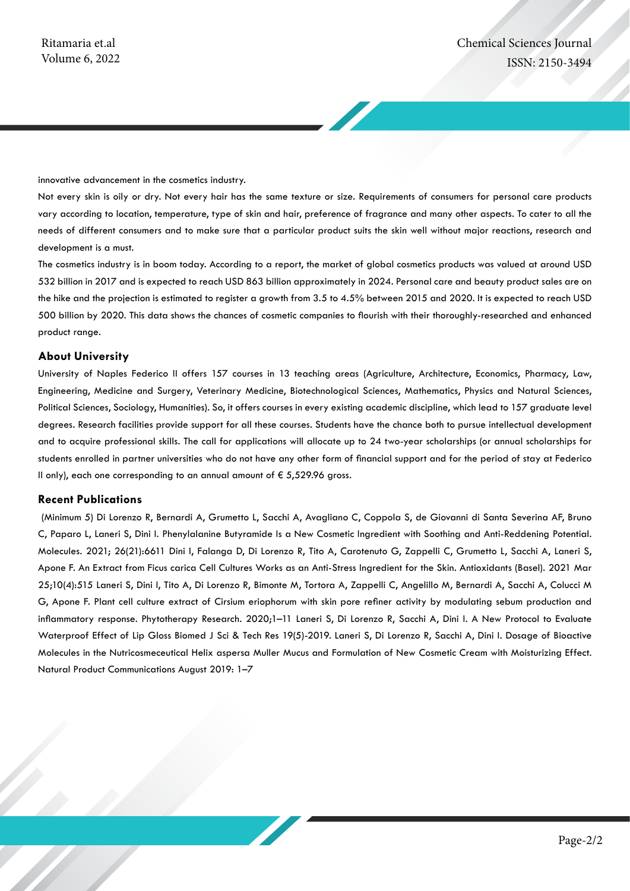innovative advancement in the cosmetics industry.

Not every skin is oily or dry. Not every hair has the same texture or size. Requirements of consumers for personal care products vary according to location, temperature, type of skin and hair, preference of fragrance and many other aspects. To cater to all the needs of different consumers and to make sure that a particular product suits the skin well without major reactions, research and development is a must.

The cosmetics industry is in boom today. According to a report, the market of global cosmetics products was valued at around USD 532 billion in 2017 and is expected to reach USD 863 billion approximately in 2024. Personal care and beauty product sales are on the hike and the projection is estimated to register a growth from 3.5 to 4.5% between 2015 and 2020. It is expected to reach USD 500 billion by 2020. This data shows the chances of cosmetic companies to flourish with their thoroughly-researched and enhanced product range.

#### **About University**

University of Naples Federico II offers 157 courses in 13 teaching areas (Agriculture, Architecture, Economics, Pharmacy, Law, Engineering, Medicine and Surgery, Veterinary Medicine, Biotechnological Sciences, Mathematics, Physics and Natural Sciences, Political Sciences, Sociology, Humanities). So, it offers courses in every existing academic discipline, which lead to 157 graduate level degrees. Research facilities provide support for all these courses. Students have the chance both to pursue intellectual development and to acquire professional skills. The call for applications will allocate up to 24 two-year scholarships (or annual scholarships for students enrolled in partner universities who do not have any other form of financial support and for the period of stay at Federico II only), each one corresponding to an annual amount of  $\epsilon$  5,529.96 gross.

#### **Recent Publications**

 (Minimum 5) Di Lorenzo R, Bernardi A, Grumetto L, Sacchi A, Avagliano C, Coppola S, de Giovanni di Santa Severina AF, Bruno C, Paparo L, Laneri S, Dini I. Phenylalanine Butyramide Is a New Cosmetic Ingredient with Soothing and Anti-Reddening Potential. Molecules. 2021; 26(21):6611 Dini I, Falanga D, Di Lorenzo R, Tito A, Carotenuto G, Zappelli C, Grumetto L, Sacchi A, Laneri S, Apone F. An Extract from Ficus carica Cell Cultures Works as an Anti-Stress Ingredient for the Skin. Antioxidants (Basel). 2021 Mar 25;10(4):515 Laneri S, Dini I, Tito A, Di Lorenzo R, Bimonte M, Tortora A, Zappelli C, Angelillo M, Bernardi A, Sacchi A, Colucci M G, Apone F. Plant cell culture extract of Cirsium eriophorum with skin pore refiner activity by modulating sebum production and inflammatory response. Phytotherapy Research. 2020;1–11 Laneri S, Di Lorenzo R, Sacchi A, Dini I. A New Protocol to Evaluate Waterproof Effect of Lip Gloss Biomed J Sci & Tech Res 19(5)-2019. Laneri S, Di Lorenzo R, Sacchi A, Dini I. Dosage of Bioactive Molecules in the Nutricosmeceutical Helix aspersa Muller Mucus and Formulation of New Cosmetic Cream with Moisturizing Effect. Natural Product Communications August 2019: 1–7